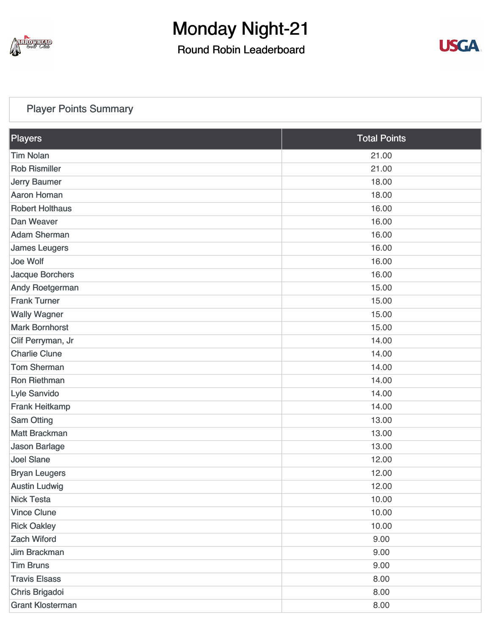

Round Robin Leaderboard



#### [Player Points Summary](https://cdn2.golfgenius.com/v2tournaments/total_points?league_id=7166742893976102077&round_id=7166751348518561232)

| Players                 | <b>Total Points</b> |
|-------------------------|---------------------|
| <b>Tim Nolan</b>        | 21.00               |
| <b>Rob Rismiller</b>    | 21.00               |
| <b>Jerry Baumer</b>     | 18.00               |
| <b>Aaron Homan</b>      | 18.00               |
| <b>Robert Holthaus</b>  | 16.00               |
| Dan Weaver              | 16.00               |
| <b>Adam Sherman</b>     | 16.00               |
| <b>James Leugers</b>    | 16.00               |
| Joe Wolf                | 16.00               |
| Jacque Borchers         | 16.00               |
| Andy Roetgerman         | 15.00               |
| <b>Frank Turner</b>     | 15.00               |
| <b>Wally Wagner</b>     | 15.00               |
| <b>Mark Bornhorst</b>   | 15.00               |
| Clif Perryman, Jr       | 14.00               |
| <b>Charlie Clune</b>    | 14.00               |
| <b>Tom Sherman</b>      | 14.00               |
| Ron Riethman            | 14.00               |
| Lyle Sanvido            | 14.00               |
| <b>Frank Heitkamp</b>   | 14.00               |
| Sam Otting              | 13.00               |
| <b>Matt Brackman</b>    | 13.00               |
| <b>Jason Barlage</b>    | 13.00               |
| <b>Joel Slane</b>       | 12.00               |
| <b>Bryan Leugers</b>    | 12.00               |
| <b>Austin Ludwig</b>    | 12.00               |
| <b>Nick Testa</b>       | 10.00               |
| <b>Vince Clune</b>      | 10.00               |
| <b>Rick Oakley</b>      | 10.00               |
| <b>Zach Wiford</b>      | 9.00                |
| Jim Brackman            | 9.00                |
| <b>Tim Bruns</b>        | 9.00                |
| <b>Travis Elsass</b>    | 8.00                |
| Chris Brigadoi          | 8.00                |
| <b>Grant Klosterman</b> | 8.00                |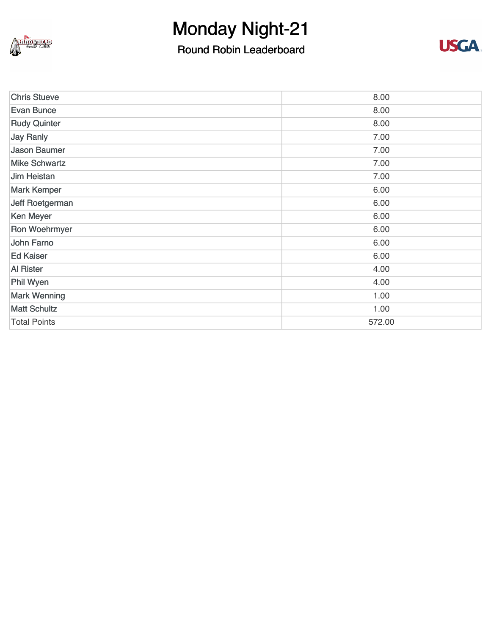

### Round Robin Leaderboard



| <b>Chris Stueve</b>  | 8.00   |
|----------------------|--------|
| <b>Evan Bunce</b>    | 8.00   |
| <b>Rudy Quinter</b>  | 8.00   |
| Jay Ranly            | 7.00   |
| <b>Jason Baumer</b>  | 7.00   |
| <b>Mike Schwartz</b> | 7.00   |
| <b>Jim Heistan</b>   | 7.00   |
| <b>Mark Kemper</b>   | 6.00   |
| Jeff Roetgerman      | 6.00   |
| <b>Ken Meyer</b>     | 6.00   |
| Ron Woehrmyer        | 6.00   |
| John Farno           | 6.00   |
| <b>Ed Kaiser</b>     | 6.00   |
| <b>Al Rister</b>     | 4.00   |
| Phil Wyen            | 4.00   |
| <b>Mark Wenning</b>  | 1.00   |
| <b>Matt Schultz</b>  | 1.00   |
| <b>Total Points</b>  | 572.00 |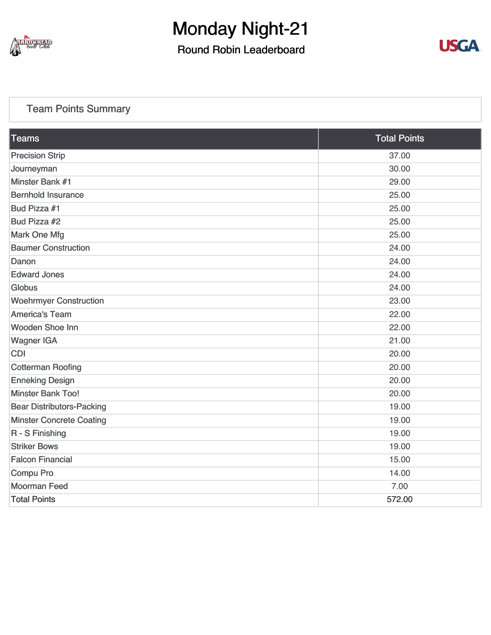

Round Robin Leaderboard



#### [Team Points Summary](https://cdn2.golfgenius.com/v2tournaments/team_points?league_id=7166742893976102077&round_id=7166751348518561232)

| <b>Teams</b>                     | <b>Total Points</b> |
|----------------------------------|---------------------|
| <b>Precision Strip</b>           | 37.00               |
| Journeyman                       | 30.00               |
| Minster Bank #1                  | 29.00               |
| <b>Bernhold Insurance</b>        | 25.00               |
| Bud Pizza #1                     | 25.00               |
| Bud Pizza #2                     | 25.00               |
| <b>Mark One Mfg</b>              | 25.00               |
| <b>Baumer Construction</b>       | 24.00               |
| Danon                            | 24.00               |
| <b>Edward Jones</b>              | 24.00               |
| Globus                           | 24.00               |
| <b>Woehrmyer Construction</b>    | 23.00               |
| <b>America's Team</b>            | 22.00               |
| Wooden Shoe Inn                  | 22.00               |
| <b>Wagner IGA</b>                | 21.00               |
| <b>CDI</b>                       | 20.00               |
| <b>Cotterman Roofing</b>         | 20.00               |
| <b>Enneking Design</b>           | 20.00               |
| <b>Minster Bank Too!</b>         | 20.00               |
| <b>Bear Distributors-Packing</b> | 19.00               |
| <b>Minster Concrete Coating</b>  | 19.00               |
| R - S Finishing                  | 19.00               |
| <b>Striker Bows</b>              | 19.00               |
| <b>Falcon Financial</b>          | 15.00               |
| Compu Pro                        | 14.00               |
| <b>Moorman Feed</b>              | 7.00                |
| <b>Total Points</b>              | 572.00              |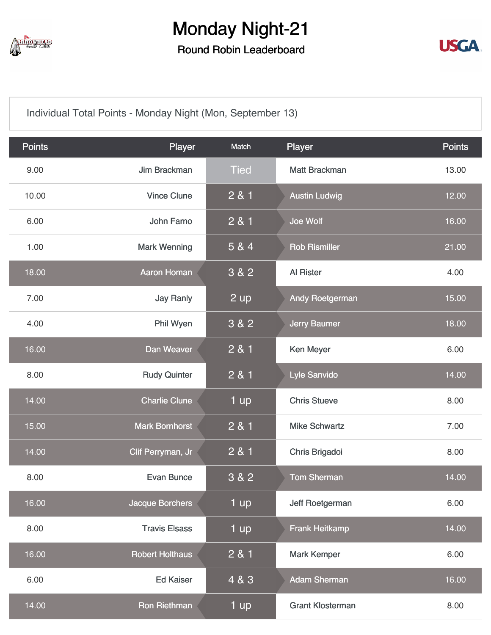

Round Robin Leaderboard



[Individual Total Points - Monday Night \(Mon, September 13\)](https://cdn2.golfgenius.com/v2tournaments/7166751601216988299?called_from=&round_index=21)

| <b>Points</b> | Player                 | Match       | Player                  | <b>Points</b> |
|---------------|------------------------|-------------|-------------------------|---------------|
| 9.00          | Jim Brackman           | <b>Tied</b> | <b>Matt Brackman</b>    | 13.00         |
| 10.00         | <b>Vince Clune</b>     | 2 & 1       | <b>Austin Ludwig</b>    | 12.00         |
| 6.00          | <b>John Farno</b>      | 2 & 1       | Joe Wolf                | 16.00         |
| 1.00          | <b>Mark Wenning</b>    | 5 & 4       | <b>Rob Rismiller</b>    | 21.00         |
| 18.00         | <b>Aaron Homan</b>     | 3 & 2       | Al Rister               | 4.00          |
| 7.00          | <b>Jay Ranly</b>       | 2 up        | <b>Andy Roetgerman</b>  | 15.00         |
| 4.00          | Phil Wyen              | 3 & 2       | <b>Jerry Baumer</b>     | 18.00         |
| 16.00         | Dan Weaver             | 2 & 1       | Ken Meyer               | 6.00          |
| 8.00          | <b>Rudy Quinter</b>    | 2 & 1       | Lyle Sanvido            | 14.00         |
| 14.00         | <b>Charlie Clune</b>   | 1 up        | <b>Chris Stueve</b>     | 8.00          |
| 15.00         | <b>Mark Bornhorst</b>  | 2 & 1       | <b>Mike Schwartz</b>    | 7.00          |
| 14.00         | Clif Perryman, Jr      | 2 & 1       | Chris Brigadoi          | 8.00          |
| 8.00          | <b>Evan Bunce</b>      | 3 & 2       | <b>Tom Sherman</b>      | 14.00         |
| 16.00         | <b>Jacque Borchers</b> | 1 up        | Jeff Roetgerman         | 6.00          |
| 8.00          | <b>Travis Elsass</b>   | 1 up        | <b>Frank Heitkamp</b>   | 14.00         |
| 16.00         | <b>Robert Holthaus</b> | 2 & 1       | <b>Mark Kemper</b>      | 6.00          |
| 6.00          | <b>Ed Kaiser</b>       | 4 & 3       | <b>Adam Sherman</b>     | 16.00         |
| 14.00         | Ron Riethman           | 1 up        | <b>Grant Klosterman</b> | 8.00          |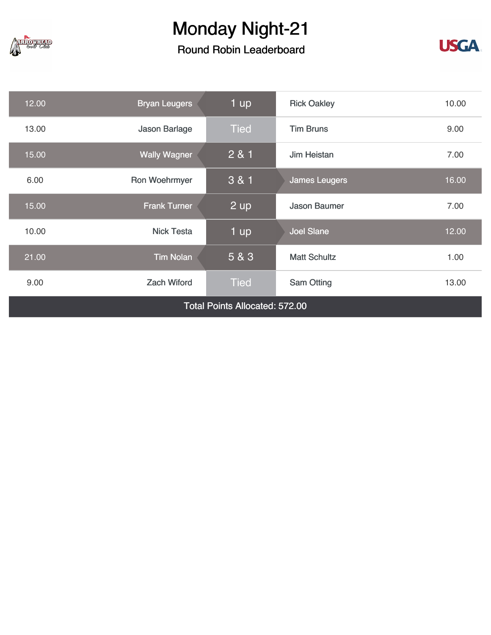

### Round Robin Leaderboard



| 12.00                                 | <b>Bryan Leugers</b> | 1 up        | <b>Rick Oakley</b>   | 10.00 |
|---------------------------------------|----------------------|-------------|----------------------|-------|
| 13.00                                 | Jason Barlage        | <b>Tied</b> | <b>Tim Bruns</b>     | 9.00  |
| 15.00                                 | <b>Wally Wagner</b>  | 2 & 1       | Jim Heistan          | 7.00  |
| 6.00                                  | Ron Woehrmyer        | 3 & 1       | <b>James Leugers</b> | 16.00 |
| 15.00                                 | <b>Frank Turner</b>  | $2$ up      | <b>Jason Baumer</b>  | 7.00  |
| 10.00                                 | <b>Nick Testa</b>    | 1 up        | <b>Joel Slane</b>    | 12.00 |
| 21.00                                 | <b>Tim Nolan</b>     | 5 & 3       | <b>Matt Schultz</b>  | 1.00  |
| 9.00                                  | <b>Zach Wiford</b>   | <b>Tied</b> | <b>Sam Otting</b>    | 13.00 |
| <b>Total Points Allocated: 572.00</b> |                      |             |                      |       |